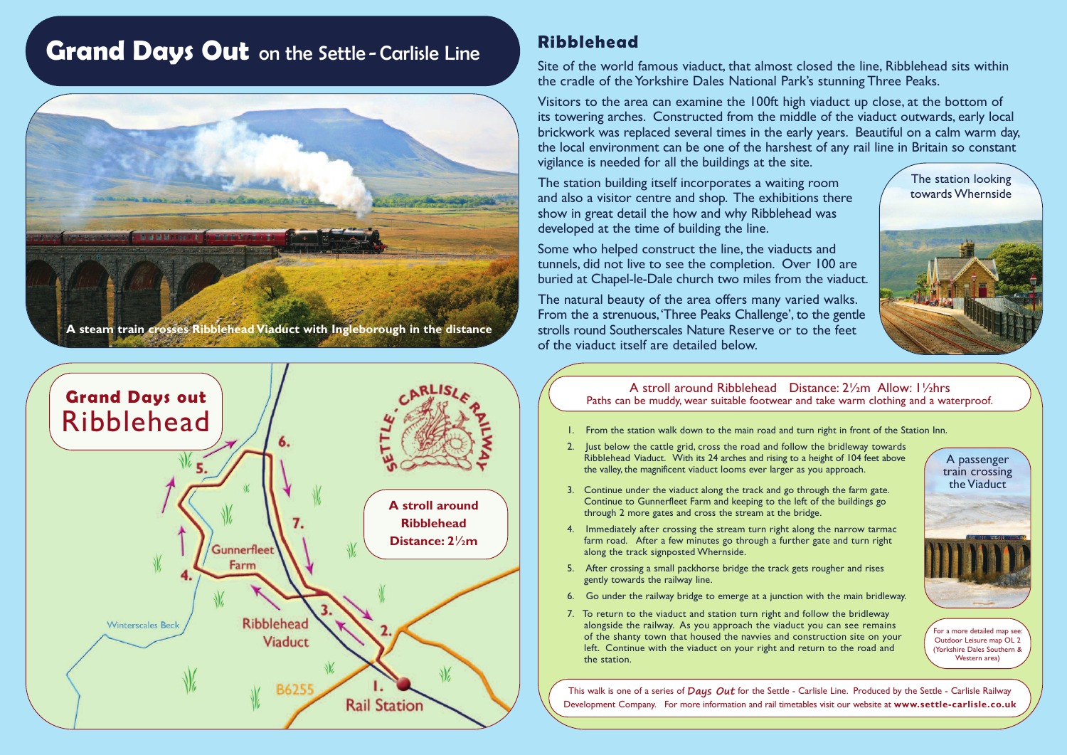# **Grand Days Out** on the Settle - Carlisle Line





#### **Ribblehead**

Site of the world famous viaduct, that almost closed the line, Ribblehead sits within the cradle of the Yorkshire Dales National Park's stunning Three Peaks.

Visitors to the area can examine the 100ft high viaduct up close, at the bottom of its towering arches. Constructed from the middle of the viaduct outwards, early local brickwork was replaced several times in the early years. Beautiful on a calm warm day, the local environment can be one of the harshest of any rail line in Britain so constant vigilance is needed for all the buildings at the site.

The station building itself incorporates a waiting room and also a visitor centre and shop. The exhibitions there show in great detail the how and why Ribblehead was developed at the time of building the line.

Some who helped construct the line, the viaducts and tunnels, did not live to see the completion. Over 100 are buried at Chapel-le-Dale church two miles from the viaduct.

The natural beauty of the area offers many varied walks. From the a strenuous,'Three Peaks Challenge', to the gentle strolls round Southerscales Nature Reserve or to the feet of the viaduct itself are detailed below.

The station looking towards Whernside



A stroll around Ribblehead Distance: 2½m Allow: 1½hrs Paths can be muddy, wear suitable footwear and take warm clothing and a waterproof.

- 1. From the station walk down to the main road and turn right in front of the Station Inn.
- 2. Just below the cattle grid, cross the road and follow the bridleway towards Ribblehead Viaduct. With its 24 arches and rising to a height of 104 feet above the valley, the magnificent viaduct looms ever larger as you approach.
- 3. Continue under the viaduct along the track and go through the farm gate. Continue to Gunnerfleet Farm and keeping to the left of the buildings go through 2 more gates and cross the stream at the bridge.
- 4. Immediately after crossing the stream turn right along the narrow tarmac farm road. After a few minutes go through a further gate and turn right along the track signposted Whernside.
- 5. After crossing a small packhorse bridge the track gets rougher and rises gently towards the railway line.
- 6. Go under the railway bridge to emerge at a junction with the main bridleway.
- 7. To return to the viaduct and station turn right and follow the bridleway alongside the railway. As you approach the viaduct you can see remains of the shanty town that housed the navvies and construction site on your left. Continue with the viaduct on your right and return to the road and the station.



For a more detailed map see: Outdoor Leisure map OL 2 (Yorkshire Dales Southern & Western area<sup>)</sup>

This walk is one of a series of **Days Out** for the Settle - Carlisle Line. Produced by the Settle - Carlisle Railway Development Company. For more information and rail timetables visit our website at **www.settle-carlisle.co.uk**